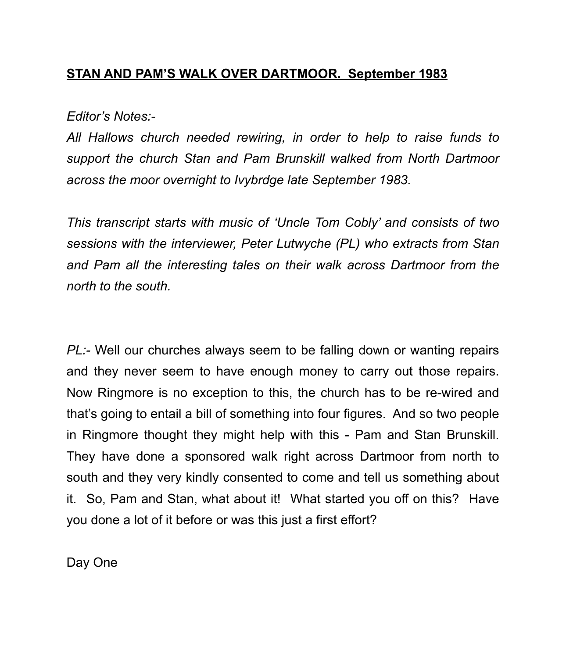## **STAN AND PAM'S WALK OVER DARTMOOR. September 1983**

*Editor's Notes:-* 

*All Hallows church needed rewiring, in order to help to raise funds to support the church Stan and Pam Brunskill walked from North Dartmoor across the moor overnight to Ivybrdge late September 1983.* 

*This transcript starts with music of 'Uncle Tom Cobly' and consists of two sessions with the interviewer, Peter Lutwyche (PL) who extracts from Stan and Pam all the interesting tales on their walk across Dartmoor from the north to the south.* 

*PL:-* Well our churches always seem to be falling down or wanting repairs and they never seem to have enough money to carry out those repairs. Now Ringmore is no exception to this, the church has to be re-wired and that's going to entail a bill of something into four figures. And so two people in Ringmore thought they might help with this - Pam and Stan Brunskill. They have done a sponsored walk right across Dartmoor from north to south and they very kindly consented to come and tell us something about it. So, Pam and Stan, what about it! What started you off on this? Have you done a lot of it before or was this just a first effort?

Day One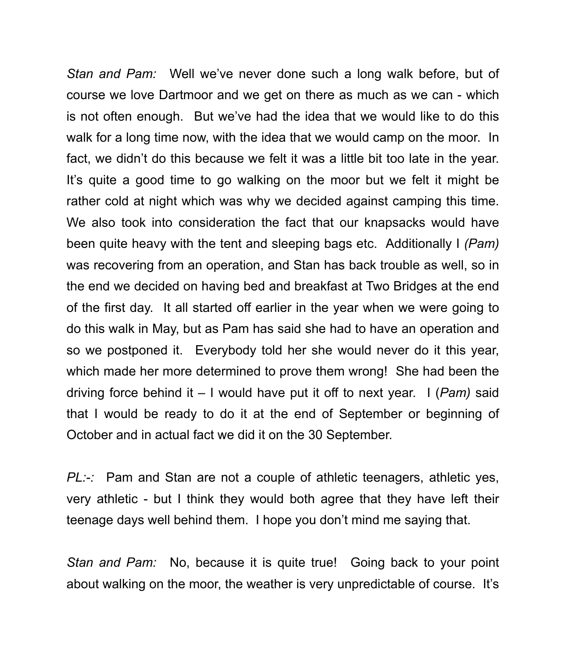*Stan and Pam:* Well we've never done such a long walk before, but of course we love Dartmoor and we get on there as much as we can - which is not often enough. But we've had the idea that we would like to do this walk for a long time now, with the idea that we would camp on the moor. In fact, we didn't do this because we felt it was a little bit too late in the year. It's quite a good time to go walking on the moor but we felt it might be rather cold at night which was why we decided against camping this time. We also took into consideration the fact that our knapsacks would have been quite heavy with the tent and sleeping bags etc. Additionally I *(Pam)*  was recovering from an operation, and Stan has back trouble as well, so in the end we decided on having bed and breakfast at Two Bridges at the end of the first day. It all started off earlier in the year when we were going to do this walk in May, but as Pam has said she had to have an operation and so we postponed it. Everybody told her she would never do it this year, which made her more determined to prove them wrong! She had been the driving force behind it – I would have put it off to next year. I (*Pam)* said that I would be ready to do it at the end of September or beginning of October and in actual fact we did it on the 30 September.

*PL:-:* Pam and Stan are not a couple of athletic teenagers, athletic yes, very athletic - but I think they would both agree that they have left their teenage days well behind them. I hope you don't mind me saying that.

*Stan and Pam:* No, because it is quite true! Going back to your point about walking on the moor, the weather is very unpredictable of course. It's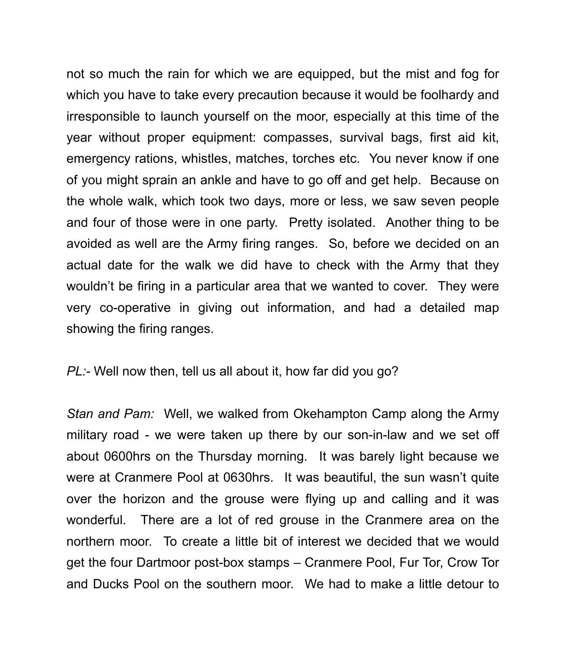not so much the rain for which we are equipped, but the mist and fog for which you have to take every precaution because it would be foolhardy and irresponsible to launch yourself on the moor, especially at this time of the year without proper equipment: compasses, survival bags, first aid kit, emergency rations, whistles, matches, torches etc. You never know if one of you might sprain an ankle and have to go off and get help. Because on the whole walk, which took two days, more or less, we saw seven people and four of those were in one party. Pretty isolated. Another thing to be avoided as well are the Army firing ranges. So, before we decided on an actual date for the walk we did have to check with the Army that they wouldn't be firing in a particular area that we wanted to cover. They were very co-operative in giving out information, and had a detailed map showing the firing ranges.

## *PL:-* Well now then, tell us all about it, how far did you go?

*Stan and Pam:* Well, we walked from Okehampton Camp along the Army military road - we were taken up there by our son-in-law and we set off about 0600hrs on the Thursday morning. It was barely light because we were at Cranmere Pool at 0630hrs. It was beautiful, the sun wasn't quite over the horizon and the grouse were flying up and calling and it was wonderful. There are a lot of red grouse in the Cranmere area on the northern moor. To create a little bit of interest we decided that we would get the four Dartmoor post-box stamps – Cranmere Pool, Fur Tor, Crow Tor and Ducks Pool on the southern moor. We had to make a little detour to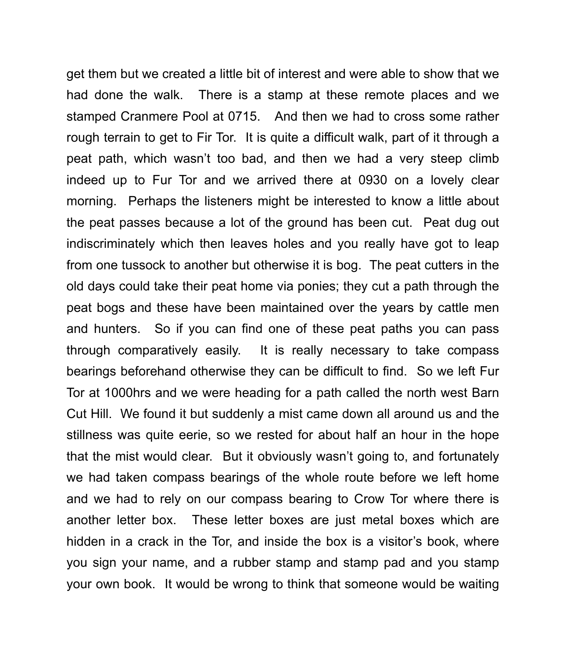get them but we created a little bit of interest and were able to show that we had done the walk. There is a stamp at these remote places and we stamped Cranmere Pool at 0715. And then we had to cross some rather rough terrain to get to Fir Tor. It is quite a difficult walk, part of it through a peat path, which wasn't too bad, and then we had a very steep climb indeed up to Fur Tor and we arrived there at 0930 on a lovely clear morning. Perhaps the listeners might be interested to know a little about the peat passes because a lot of the ground has been cut. Peat dug out indiscriminately which then leaves holes and you really have got to leap from one tussock to another but otherwise it is bog. The peat cutters in the old days could take their peat home via ponies; they cut a path through the peat bogs and these have been maintained over the years by cattle men and hunters. So if you can find one of these peat paths you can pass through comparatively easily. It is really necessary to take compass bearings beforehand otherwise they can be difficult to find. So we left Fur Tor at 1000hrs and we were heading for a path called the north west Barn Cut Hill. We found it but suddenly a mist came down all around us and the stillness was quite eerie, so we rested for about half an hour in the hope that the mist would clear. But it obviously wasn't going to, and fortunately we had taken compass bearings of the whole route before we left home and we had to rely on our compass bearing to Crow Tor where there is another letter box. These letter boxes are just metal boxes which are hidden in a crack in the Tor, and inside the box is a visitor's book, where you sign your name, and a rubber stamp and stamp pad and you stamp your own book. It would be wrong to think that someone would be waiting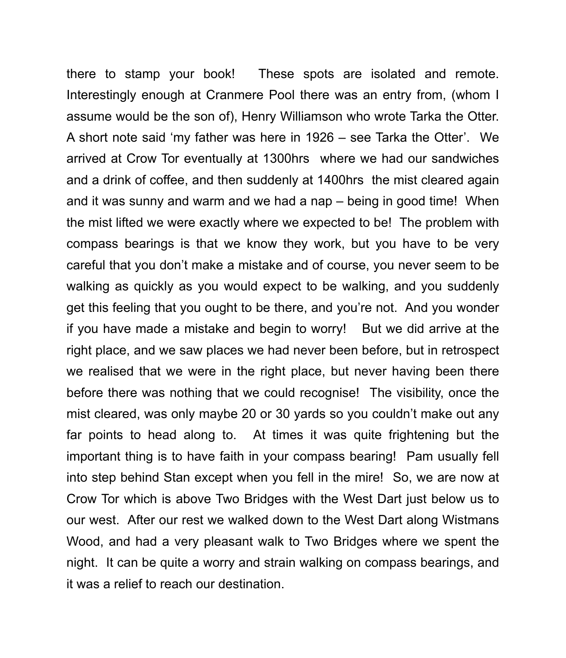there to stamp your book! These spots are isolated and remote. Interestingly enough at Cranmere Pool there was an entry from, (whom I assume would be the son of), Henry Williamson who wrote Tarka the Otter. A short note said 'my father was here in 1926 – see Tarka the Otter'. We arrived at Crow Tor eventually at 1300hrs where we had our sandwiches and a drink of coffee, and then suddenly at 1400hrs the mist cleared again and it was sunny and warm and we had a nap – being in good time! When the mist lifted we were exactly where we expected to be! The problem with compass bearings is that we know they work, but you have to be very careful that you don't make a mistake and of course, you never seem to be walking as quickly as you would expect to be walking, and you suddenly get this feeling that you ought to be there, and you're not. And you wonder if you have made a mistake and begin to worry! But we did arrive at the right place, and we saw places we had never been before, but in retrospect we realised that we were in the right place, but never having been there before there was nothing that we could recognise! The visibility, once the mist cleared, was only maybe 20 or 30 yards so you couldn't make out any far points to head along to. At times it was quite frightening but the important thing is to have faith in your compass bearing! Pam usually fell into step behind Stan except when you fell in the mire! So, we are now at Crow Tor which is above Two Bridges with the West Dart just below us to our west. After our rest we walked down to the West Dart along Wistmans Wood, and had a very pleasant walk to Two Bridges where we spent the night. It can be quite a worry and strain walking on compass bearings, and it was a relief to reach our destination.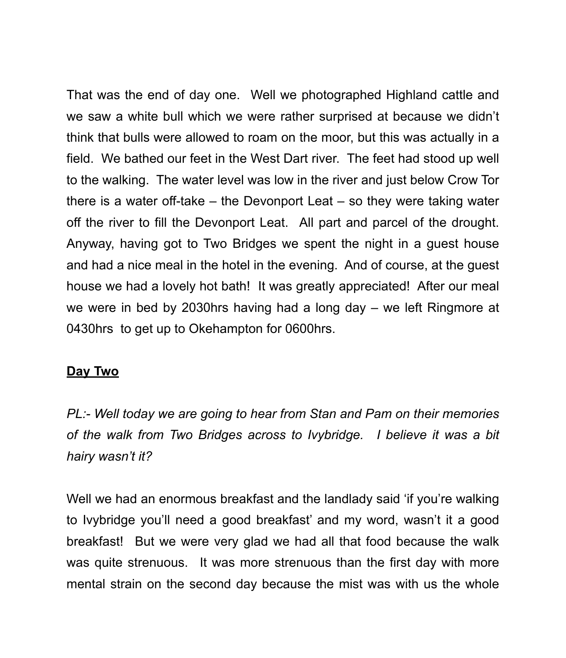That was the end of day one. Well we photographed Highland cattle and we saw a white bull which we were rather surprised at because we didn't think that bulls were allowed to roam on the moor, but this was actually in a field. We bathed our feet in the West Dart river. The feet had stood up well to the walking. The water level was low in the river and just below Crow Tor there is a water off-take – the Devonport Leat – so they were taking water off the river to fill the Devonport Leat. All part and parcel of the drought. Anyway, having got to Two Bridges we spent the night in a guest house and had a nice meal in the hotel in the evening. And of course, at the guest house we had a lovely hot bath! It was greatly appreciated! After our meal we were in bed by 2030hrs having had a long day – we left Ringmore at 0430hrs to get up to Okehampton for 0600hrs.

## **Day Two**

*PL:- Well today we are going to hear from Stan and Pam on their memories of the walk from Two Bridges across to Ivybridge. I believe it was a bit hairy wasn't it?* 

Well we had an enormous breakfast and the landlady said 'if you're walking to Ivybridge you'll need a good breakfast' and my word, wasn't it a good breakfast! But we were very glad we had all that food because the walk was quite strenuous. It was more strenuous than the first day with more mental strain on the second day because the mist was with us the whole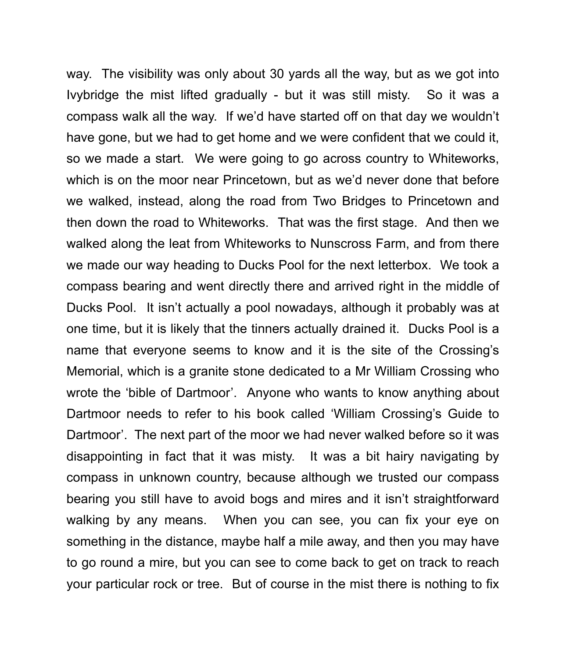way. The visibility was only about 30 yards all the way, but as we got into Ivybridge the mist lifted gradually - but it was still misty. So it was a compass walk all the way. If we'd have started off on that day we wouldn't have gone, but we had to get home and we were confident that we could it, so we made a start. We were going to go across country to Whiteworks, which is on the moor near Princetown, but as we'd never done that before we walked, instead, along the road from Two Bridges to Princetown and then down the road to Whiteworks. That was the first stage. And then we walked along the leat from Whiteworks to Nunscross Farm, and from there we made our way heading to Ducks Pool for the next letterbox. We took a compass bearing and went directly there and arrived right in the middle of Ducks Pool. It isn't actually a pool nowadays, although it probably was at one time, but it is likely that the tinners actually drained it. Ducks Pool is a name that everyone seems to know and it is the site of the Crossing's Memorial, which is a granite stone dedicated to a Mr William Crossing who wrote the 'bible of Dartmoor'. Anyone who wants to know anything about Dartmoor needs to refer to his book called 'William Crossing's Guide to Dartmoor'. The next part of the moor we had never walked before so it was disappointing in fact that it was misty. It was a bit hairy navigating by compass in unknown country, because although we trusted our compass bearing you still have to avoid bogs and mires and it isn't straightforward walking by any means. When you can see, you can fix your eye on something in the distance, maybe half a mile away, and then you may have to go round a mire, but you can see to come back to get on track to reach your particular rock or tree. But of course in the mist there is nothing to fix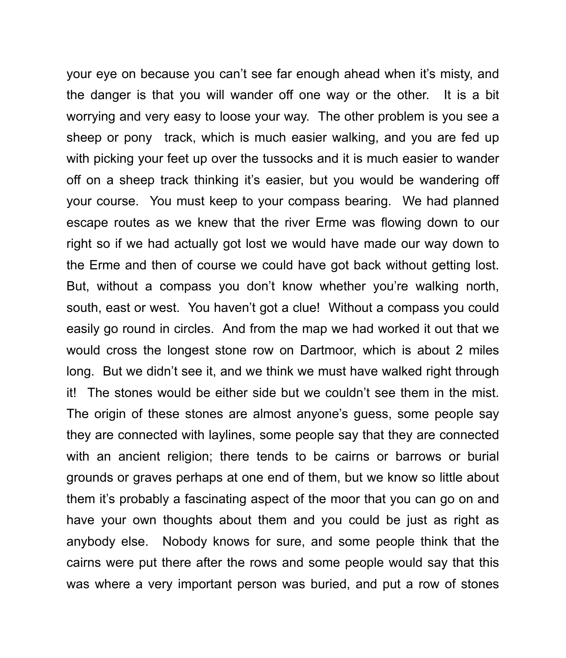your eye on because you can't see far enough ahead when it's misty, and the danger is that you will wander off one way or the other. It is a bit worrying and very easy to loose your way. The other problem is you see a sheep or pony track, which is much easier walking, and you are fed up with picking your feet up over the tussocks and it is much easier to wander off on a sheep track thinking it's easier, but you would be wandering off your course. You must keep to your compass bearing. We had planned escape routes as we knew that the river Erme was flowing down to our right so if we had actually got lost we would have made our way down to the Erme and then of course we could have got back without getting lost. But, without a compass you don't know whether you're walking north, south, east or west. You haven't got a clue! Without a compass you could easily go round in circles. And from the map we had worked it out that we would cross the longest stone row on Dartmoor, which is about 2 miles long. But we didn't see it, and we think we must have walked right through it! The stones would be either side but we couldn't see them in the mist. The origin of these stones are almost anyone's guess, some people say they are connected with laylines, some people say that they are connected with an ancient religion; there tends to be cairns or barrows or burial grounds or graves perhaps at one end of them, but we know so little about them it's probably a fascinating aspect of the moor that you can go on and have your own thoughts about them and you could be just as right as anybody else. Nobody knows for sure, and some people think that the cairns were put there after the rows and some people would say that this was where a very important person was buried, and put a row of stones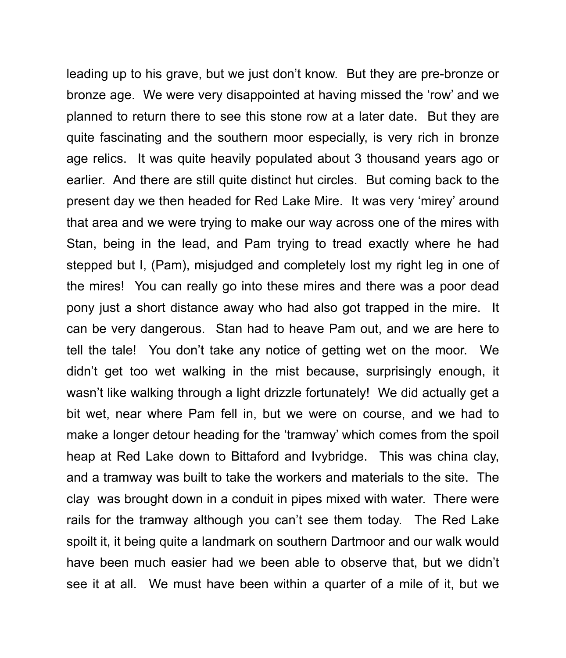leading up to his grave, but we just don't know. But they are pre-bronze or bronze age. We were very disappointed at having missed the 'row' and we planned to return there to see this stone row at a later date. But they are quite fascinating and the southern moor especially, is very rich in bronze age relics. It was quite heavily populated about 3 thousand years ago or earlier. And there are still quite distinct hut circles. But coming back to the present day we then headed for Red Lake Mire. It was very 'mirey' around that area and we were trying to make our way across one of the mires with Stan, being in the lead, and Pam trying to tread exactly where he had stepped but I, (Pam), misjudged and completely lost my right leg in one of the mires! You can really go into these mires and there was a poor dead pony just a short distance away who had also got trapped in the mire. It can be very dangerous. Stan had to heave Pam out, and we are here to tell the tale! You don't take any notice of getting wet on the moor. We didn't get too wet walking in the mist because, surprisingly enough, it wasn't like walking through a light drizzle fortunately! We did actually get a bit wet, near where Pam fell in, but we were on course, and we had to make a longer detour heading for the 'tramway' which comes from the spoil heap at Red Lake down to Bittaford and Ivybridge. This was china clay, and a tramway was built to take the workers and materials to the site. The clay was brought down in a conduit in pipes mixed with water. There were rails for the tramway although you can't see them today. The Red Lake spoilt it, it being quite a landmark on southern Dartmoor and our walk would have been much easier had we been able to observe that, but we didn't see it at all. We must have been within a quarter of a mile of it, but we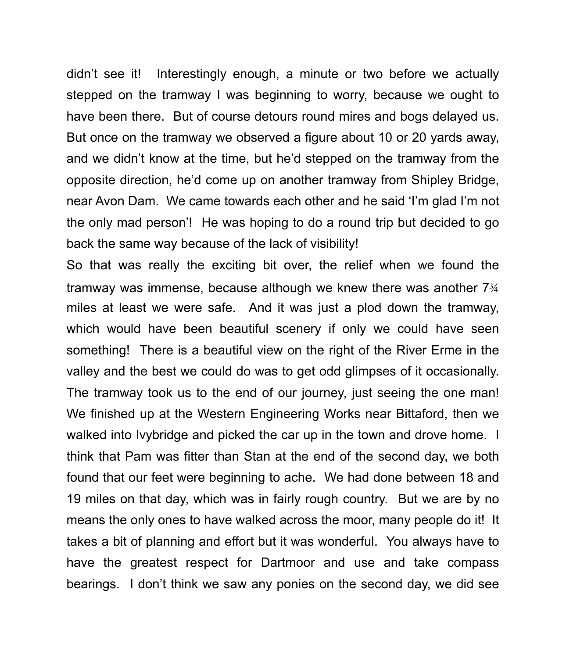didn't see it! Interestingly enough, a minute or two before we actually stepped on the tramway I was beginning to worry, because we ought to have been there. But of course detours round mires and bogs delayed us. But once on the tramway we observed a figure about 10 or 20 yards away, and we didn't know at the time, but he'd stepped on the tramway from the opposite direction, he'd come up on another tramway from Shipley Bridge, near Avon Dam. We came towards each other and he said 'I'm glad I'm not the only mad person'! He was hoping to do a round trip but decided to go back the same way because of the lack of visibility!

So that was really the exciting bit over, the relief when we found the tramway was immense, because although we knew there was another 7¾ miles at least we were safe. And it was just a plod down the tramway, which would have been beautiful scenery if only we could have seen something! There is a beautiful view on the right of the River Erme in the valley and the best we could do was to get odd glimpses of it occasionally. The tramway took us to the end of our journey, just seeing the one man! We finished up at the Western Engineering Works near Bittaford, then we walked into Ivybridge and picked the car up in the town and drove home. I think that Pam was fitter than Stan at the end of the second day, we both found that our feet were beginning to ache. We had done between 18 and 19 miles on that day, which was in fairly rough country. But we are by no means the only ones to have walked across the moor, many people do it! It takes a bit of planning and effort but it was wonderful. You always have to have the greatest respect for Dartmoor and use and take compass bearings. I don't think we saw any ponies on the second day, we did see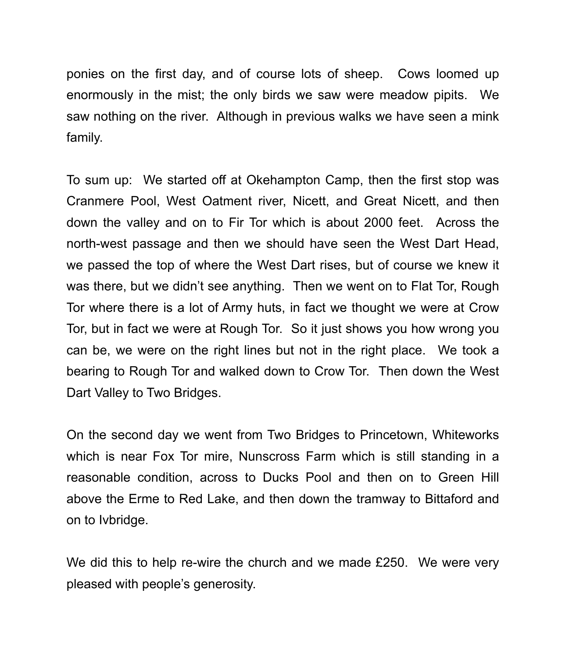ponies on the first day, and of course lots of sheep. Cows loomed up enormously in the mist; the only birds we saw were meadow pipits. We saw nothing on the river. Although in previous walks we have seen a mink family.

To sum up: We started off at Okehampton Camp, then the first stop was Cranmere Pool, West Oatment river, Nicett, and Great Nicett, and then down the valley and on to Fir Tor which is about 2000 feet. Across the north-west passage and then we should have seen the West Dart Head, we passed the top of where the West Dart rises, but of course we knew it was there, but we didn't see anything. Then we went on to Flat Tor, Rough Tor where there is a lot of Army huts, in fact we thought we were at Crow Tor, but in fact we were at Rough Tor. So it just shows you how wrong you can be, we were on the right lines but not in the right place. We took a bearing to Rough Tor and walked down to Crow Tor. Then down the West Dart Valley to Two Bridges.

On the second day we went from Two Bridges to Princetown, Whiteworks which is near Fox Tor mire, Nunscross Farm which is still standing in a reasonable condition, across to Ducks Pool and then on to Green Hill above the Erme to Red Lake, and then down the tramway to Bittaford and on to Ivbridge.

We did this to help re-wire the church and we made £250. We were very pleased with people's generosity.